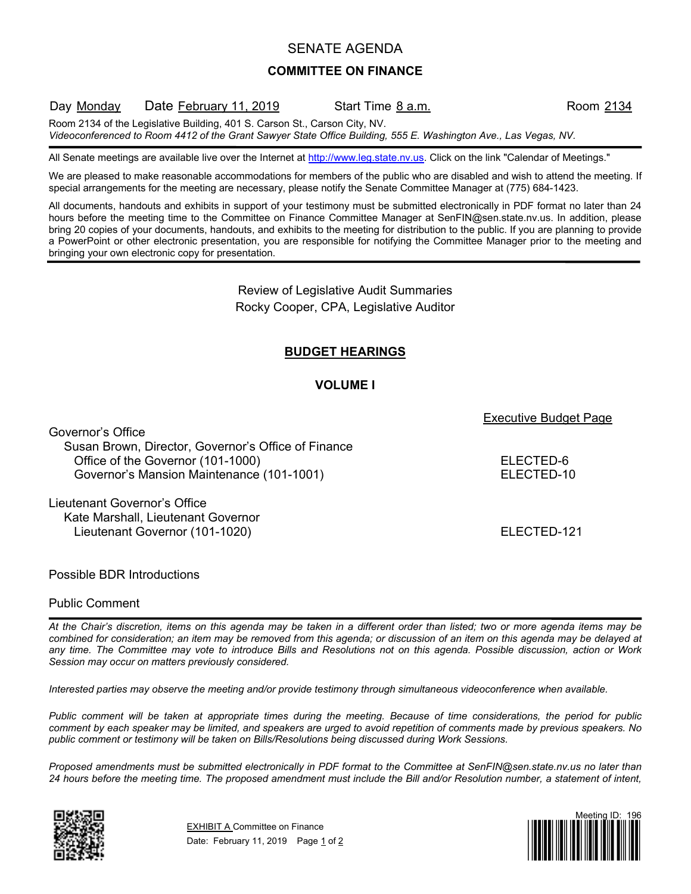## SENATE AGENDA

### **COMMITTEE ON FINANCE**

### Day Monday Date February 11, 2019 Start Time 8 a.m. Room 2134

Room 2134 of the Legislative Building, 401 S. Carson St., Carson City, NV.

*Videoconferenced to Room 4412 of the Grant Sawyer State Office Building, 555 E. Washington Ave., Las Vegas, NV.*

All Senate meetings are available live over the Internet at [http://www.leg.state.nv.us.](http://www.leg.state.nv.us/) Click on the link "Calendar of Meetings."

We are pleased to make reasonable accommodations for members of the public who are disabled and wish to attend the meeting. If special arrangements for the meeting are necessary, please notify the Senate Committee Manager at (775) 684-1423.

All documents, handouts and exhibits in support of your testimony must be submitted electronically in PDF format no later than 24 hours before the meeting time to the Committee on Finance Committee Manager at SenFIN@sen.state.nv.us. In addition, please bring 20 copies of your documents, handouts, and exhibits to the meeting for distribution to the public. If you are planning to provide a PowerPoint or other electronic presentation, you are responsible for notifying the Committee Manager prior to the meeting and bringing your own electronic copy for presentation.

> Review of Legislative Audit Summaries Rocky Cooper, CPA, Legislative Auditor

# **BUDGET HEARINGS**

### **VOLUME I**

Executive Budget Page

Governor's Office Susan Brown, Director, Governor's Office of Finance Office of the Governor (101-1000) ELECTED-6 Governor's Mansion Maintenance (101-1001) ELECTED-10

Lieutenant Governor's Office Kate Marshall, Lieutenant Governor Lieutenant Governor (101-1020) **ELECTED-121** 

Possible BDR Introductions

### Public Comment

*At the Chair's discretion, items on this agenda may be taken in a different order than listed; two or more agenda items may be combined for consideration; an item may be removed from this agenda; or discussion of an item on this agenda may be delayed at any time. The Committee may vote to introduce Bills and Resolutions not on this agenda. Possible discussion, action or Work Session may occur on matters previously considered.*

*Interested parties may observe the meeting and/or provide testimony through simultaneous videoconference when available.*

*Public comment will be taken at appropriate times during the meeting. Because of time considerations, the period for public comment by each speaker may be limited, and speakers are urged to avoid repetition of comments made by previous speakers. No public comment or testimony will be taken on Bills/Resolutions being discussed during Work Sessions.*

*Proposed amendments must be submitted electronically in PDF format to the Committee at SenFIN@sen.state.nv.us no later than 24 hours before the meeting time. The proposed amendment must include the Bill and/or Resolution number, a statement of intent,* 



**EXHIBIT A Committee on Finance** Date: February 11, 2019 Page 1 of 2